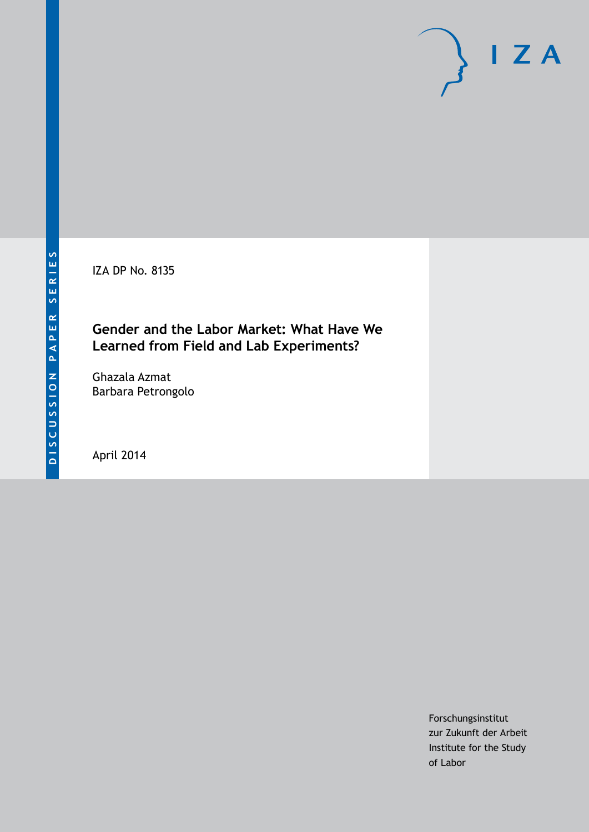IZA DP No. 8135

# **Gender and the Labor Market: What Have We Learned from Field and Lab Experiments?**

Ghazala Azmat Barbara Petrongolo

April 2014

Forschungsinstitut zur Zukunft der Arbeit Institute for the Study of Labor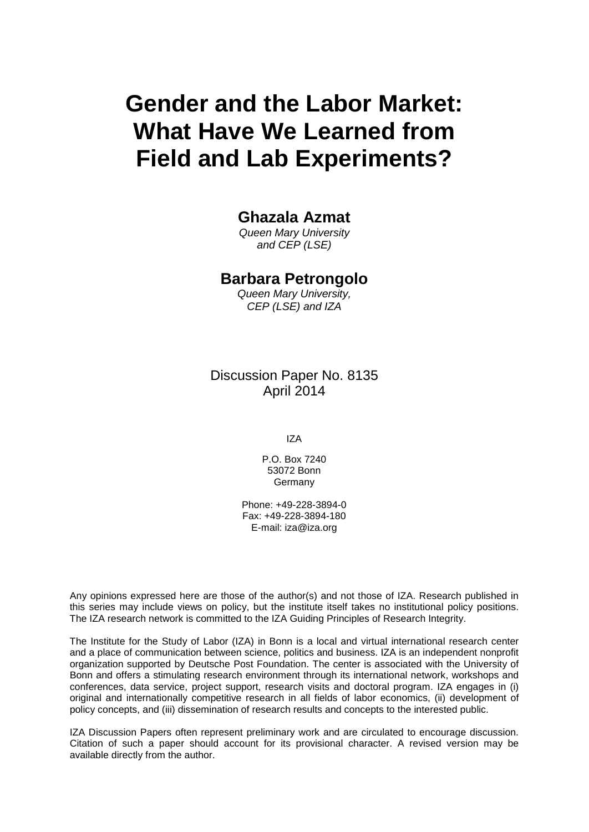# **Gender and the Labor Market: What Have We Learned from Field and Lab Experiments?**

### **Ghazala Azmat**

*Queen Mary University and CEP (LSE)*

#### **Barbara Petrongolo**

*Queen Mary University, CEP (LSE) and IZA*

Discussion Paper No. 8135 April 2014

IZA

P.O. Box 7240 53072 Bonn Germany

Phone: +49-228-3894-0 Fax: +49-228-3894-180 E-mail: [iza@iza.org](mailto:iza@iza.org)

Any opinions expressed here are those of the author(s) and not those of IZA. Research published in this series may include views on policy, but the institute itself takes no institutional policy positions. The IZA research network is committed to the IZA Guiding Principles of Research Integrity.

The Institute for the Study of Labor (IZA) in Bonn is a local and virtual international research center and a place of communication between science, politics and business. IZA is an independent nonprofit organization supported by Deutsche Post Foundation. The center is associated with the University of Bonn and offers a stimulating research environment through its international network, workshops and conferences, data service, project support, research visits and doctoral program. IZA engages in (i) original and internationally competitive research in all fields of labor economics, (ii) development of policy concepts, and (iii) dissemination of research results and concepts to the interested public.

<span id="page-1-0"></span>IZA Discussion Papers often represent preliminary work and are circulated to encourage discussion. Citation of such a paper should account for its provisional character. A revised version may be available directly from the author.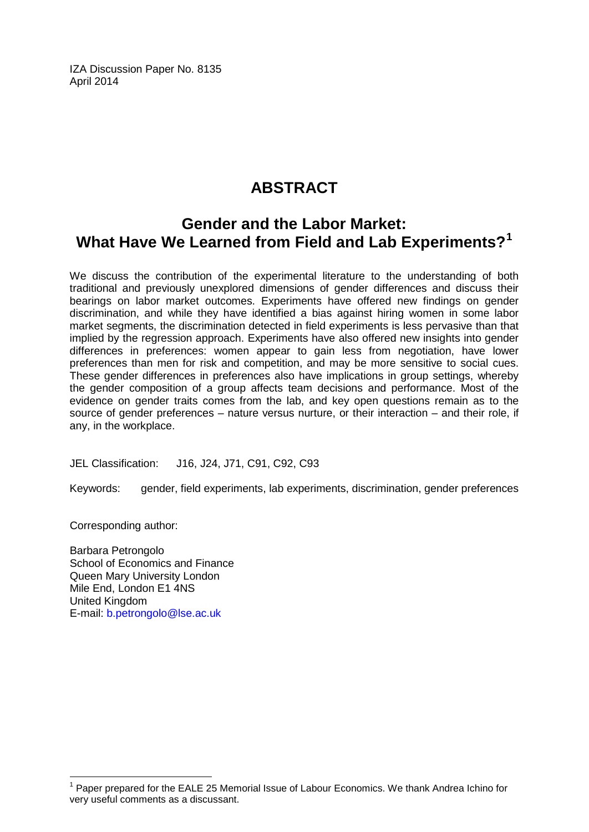IZA Discussion Paper No. 8135 April 2014

# **ABSTRACT**

# **Gender and the Labor Market: What Have We Learned from Field and Lab Experiments?[1](#page-1-0)**

We discuss the contribution of the experimental literature to the understanding of both traditional and previously unexplored dimensions of gender differences and discuss their bearings on labor market outcomes. Experiments have offered new findings on gender discrimination, and while they have identified a bias against hiring women in some labor market segments, the discrimination detected in field experiments is less pervasive than that implied by the regression approach. Experiments have also offered new insights into gender differences in preferences: women appear to gain less from negotiation, have lower preferences than men for risk and competition, and may be more sensitive to social cues. These gender differences in preferences also have implications in group settings, whereby the gender composition of a group affects team decisions and performance. Most of the evidence on gender traits comes from the lab, and key open questions remain as to the source of gender preferences – nature versus nurture, or their interaction – and their role, if any, in the workplace.

JEL Classification: J16, J24, J71, C91, C92, C93

Keywords: gender, field experiments, lab experiments, discrimination, gender preferences

Corresponding author:

Barbara Petrongolo School of Economics and Finance Queen Mary University London Mile End, London E1 4NS United Kingdom E-mail: [b.petrongolo@lse.ac.uk](mailto:b.petrongolo@lse.ac.uk)

<sup>&</sup>lt;sup>1</sup> Paper prepared for the EALE 25 Memorial Issue of Labour Economics. We thank Andrea Ichino for very useful comments as a discussant.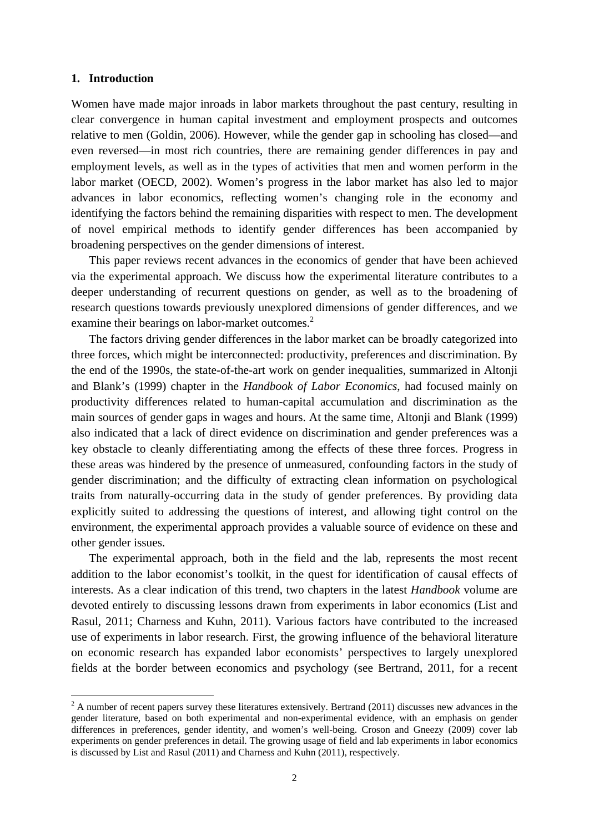#### **1. Introduction**

Women have made major inroads in labor markets throughout the past century, resulting in clear convergence in human capital investment and employment prospects and outcomes relative to men (Goldin, 2006). However, while the gender gap in schooling has closed—and even reversed—in most rich countries, there are remaining gender differences in pay and employment levels, as well as in the types of activities that men and women perform in the labor market (OECD, 2002). Women's progress in the labor market has also led to major advances in labor economics, reflecting women's changing role in the economy and identifying the factors behind the remaining disparities with respect to men. The development of novel empirical methods to identify gender differences has been accompanied by broadening perspectives on the gender dimensions of interest.

This paper reviews recent advances in the economics of gender that have been achieved via the experimental approach. We discuss how the experimental literature contributes to a deeper understanding of recurrent questions on gender, as well as to the broadening of research questions towards previously unexplored dimensions of gender differences, and we examine their bearings on labor-market outcomes.<sup>2</sup>

The factors driving gender differences in the labor market can be broadly categorized into three forces, which might be interconnected: productivity, preferences and discrimination. By the end of the 1990s, the state-of-the-art work on gender inequalities, summarized in Altonji and Blank's (1999) chapter in the *Handbook of Labor Economics*, had focused mainly on productivity differences related to human-capital accumulation and discrimination as the main sources of gender gaps in wages and hours. At the same time, Altonji and Blank (1999) also indicated that a lack of direct evidence on discrimination and gender preferences was a key obstacle to cleanly differentiating among the effects of these three forces. Progress in these areas was hindered by the presence of unmeasured, confounding factors in the study of gender discrimination; and the difficulty of extracting clean information on psychological traits from naturally-occurring data in the study of gender preferences. By providing data explicitly suited to addressing the questions of interest, and allowing tight control on the environment, the experimental approach provides a valuable source of evidence on these and other gender issues.

The experimental approach, both in the field and the lab, represents the most recent addition to the labor economist's toolkit, in the quest for identification of causal effects of interests. As a clear indication of this trend, two chapters in the latest *Handbook* volume are devoted entirely to discussing lessons drawn from experiments in labor economics (List and Rasul, 2011; Charness and Kuhn, 2011). Various factors have contributed to the increased use of experiments in labor research. First, the growing influence of the behavioral literature on economic research has expanded labor economists' perspectives to largely unexplored fields at the border between economics and psychology (see Bertrand, 2011, for a recent

<sup>&</sup>lt;sup>2</sup> A number of recent papers survey these literatures extensively. Bertrand (2011) discusses new advances in the gender literature, based on both experimental and non-experimental evidence, with an emphasis on gender differences in preferences, gender identity, and women's well-being. Croson and Gneezy (2009) cover lab experiments on gender preferences in detail. The growing usage of field and lab experiments in labor economics is discussed by List and Rasul (2011) and Charness and Kuhn (2011), respectively.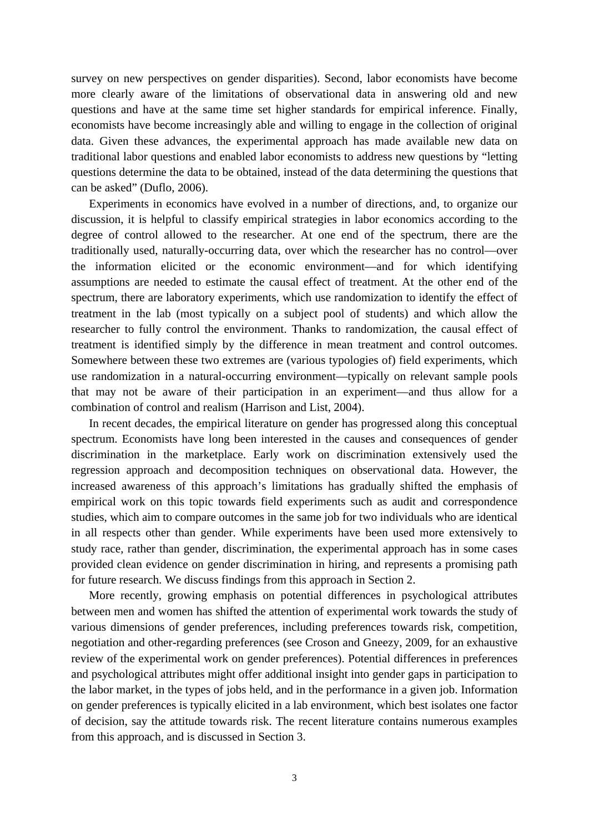survey on new perspectives on gender disparities). Second, labor economists have become more clearly aware of the limitations of observational data in answering old and new questions and have at the same time set higher standards for empirical inference. Finally, economists have become increasingly able and willing to engage in the collection of original data. Given these advances, the experimental approach has made available new data on traditional labor questions and enabled labor economists to address new questions by "letting questions determine the data to be obtained, instead of the data determining the questions that can be asked" (Duflo, 2006).

Experiments in economics have evolved in a number of directions, and, to organize our discussion, it is helpful to classify empirical strategies in labor economics according to the degree of control allowed to the researcher. At one end of the spectrum, there are the traditionally used, naturally-occurring data, over which the researcher has no control—over the information elicited or the economic environment—and for which identifying assumptions are needed to estimate the causal effect of treatment. At the other end of the spectrum, there are laboratory experiments, which use randomization to identify the effect of treatment in the lab (most typically on a subject pool of students) and which allow the researcher to fully control the environment. Thanks to randomization, the causal effect of treatment is identified simply by the difference in mean treatment and control outcomes. Somewhere between these two extremes are (various typologies of) field experiments, which use randomization in a natural-occurring environment—typically on relevant sample pools that may not be aware of their participation in an experiment—and thus allow for a combination of control and realism (Harrison and List, 2004).

In recent decades, the empirical literature on gender has progressed along this conceptual spectrum. Economists have long been interested in the causes and consequences of gender discrimination in the marketplace. Early work on discrimination extensively used the regression approach and decomposition techniques on observational data. However, the increased awareness of this approach's limitations has gradually shifted the emphasis of empirical work on this topic towards field experiments such as audit and correspondence studies, which aim to compare outcomes in the same job for two individuals who are identical in all respects other than gender. While experiments have been used more extensively to study race, rather than gender, discrimination, the experimental approach has in some cases provided clean evidence on gender discrimination in hiring, and represents a promising path for future research. We discuss findings from this approach in Section 2.

More recently, growing emphasis on potential differences in psychological attributes between men and women has shifted the attention of experimental work towards the study of various dimensions of gender preferences, including preferences towards risk, competition, negotiation and other-regarding preferences (see Croson and Gneezy, 2009, for an exhaustive review of the experimental work on gender preferences). Potential differences in preferences and psychological attributes might offer additional insight into gender gaps in participation to the labor market, in the types of jobs held, and in the performance in a given job. Information on gender preferences is typically elicited in a lab environment, which best isolates one factor of decision, say the attitude towards risk. The recent literature contains numerous examples from this approach, and is discussed in Section 3.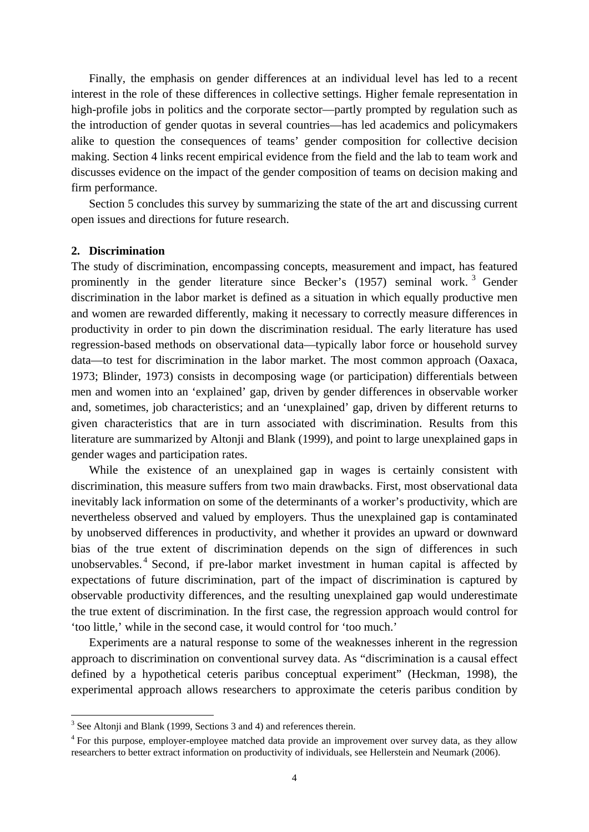Finally, the emphasis on gender differences at an individual level has led to a recent interest in the role of these differences in collective settings. Higher female representation in high-profile jobs in politics and the corporate sector—partly prompted by regulation such as the introduction of gender quotas in several countries—has led academics and policymakers alike to question the consequences of teams' gender composition for collective decision making. Section 4 links recent empirical evidence from the field and the lab to team work and discusses evidence on the impact of the gender composition of teams on decision making and firm performance.

Section 5 concludes this survey by summarizing the state of the art and discussing current open issues and directions for future research.

#### **2. Discrimination**

The study of discrimination, encompassing concepts, measurement and impact, has featured prominently in the gender literature since Becker's  $(1957)$  seminal work.<sup>3</sup> Gender discrimination in the labor market is defined as a situation in which equally productive men and women are rewarded differently, making it necessary to correctly measure differences in productivity in order to pin down the discrimination residual. The early literature has used regression-based methods on observational data—typically labor force or household survey data—to test for discrimination in the labor market. The most common approach (Oaxaca, 1973; Blinder, 1973) consists in decomposing wage (or participation) differentials between men and women into an 'explained' gap, driven by gender differences in observable worker and, sometimes, job characteristics; and an 'unexplained' gap, driven by different returns to given characteristics that are in turn associated with discrimination. Results from this literature are summarized by Altonji and Blank (1999), and point to large unexplained gaps in gender wages and participation rates.

While the existence of an unexplained gap in wages is certainly consistent with discrimination, this measure suffers from two main drawbacks. First, most observational data inevitably lack information on some of the determinants of a worker's productivity, which are nevertheless observed and valued by employers. Thus the unexplained gap is contaminated by unobserved differences in productivity, and whether it provides an upward or downward bias of the true extent of discrimination depends on the sign of differences in such unobservables.<sup>4</sup> Second, if pre-labor market investment in human capital is affected by expectations of future discrimination, part of the impact of discrimination is captured by observable productivity differences, and the resulting unexplained gap would underestimate the true extent of discrimination. In the first case, the regression approach would control for 'too little,' while in the second case, it would control for 'too much.'

Experiments are a natural response to some of the weaknesses inherent in the regression approach to discrimination on conventional survey data. As "discrimination is a causal effect defined by a hypothetical ceteris paribus conceptual experiment" (Heckman, 1998), the experimental approach allows researchers to approximate the ceteris paribus condition by

<sup>&</sup>lt;sup>3</sup> See Altonji and Blank (1999, Sections 3 and 4) and references therein.

<sup>&</sup>lt;sup>4</sup> For this purpose, employer-employee matched data provide an improvement over survey data, as they allow researchers to better extract information on productivity of individuals, see Hellerstein and Neumark (2006).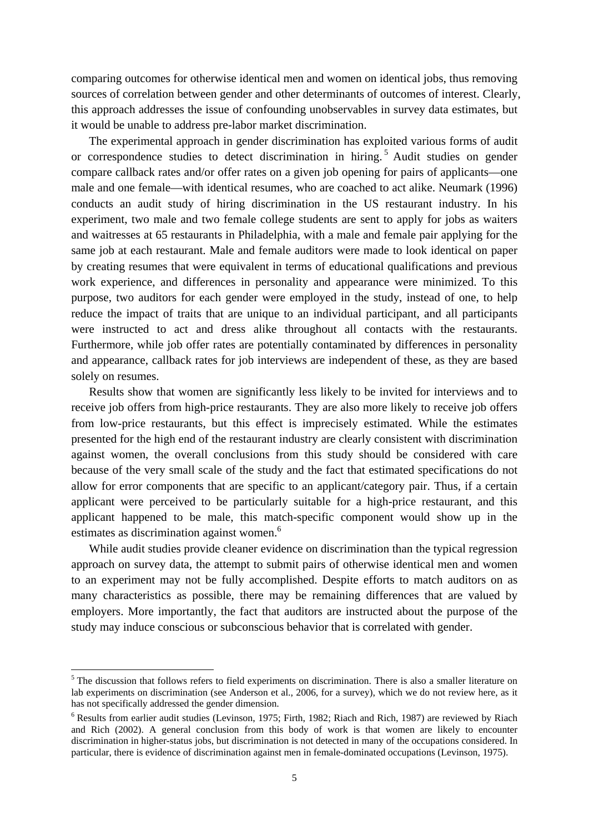comparing outcomes for otherwise identical men and women on identical jobs, thus removing sources of correlation between gender and other determinants of outcomes of interest. Clearly, this approach addresses the issue of confounding unobservables in survey data estimates, but it would be unable to address pre-labor market discrimination.

The experimental approach in gender discrimination has exploited various forms of audit or correspondence studies to detect discrimination in hiring. 5 Audit studies on gender compare callback rates and/or offer rates on a given job opening for pairs of applicants—one male and one female—with identical resumes, who are coached to act alike. Neumark (1996) conducts an audit study of hiring discrimination in the US restaurant industry. In his experiment, two male and two female college students are sent to apply for jobs as waiters and waitresses at 65 restaurants in Philadelphia, with a male and female pair applying for the same job at each restaurant. Male and female auditors were made to look identical on paper by creating resumes that were equivalent in terms of educational qualifications and previous work experience, and differences in personality and appearance were minimized. To this purpose, two auditors for each gender were employed in the study, instead of one, to help reduce the impact of traits that are unique to an individual participant, and all participants were instructed to act and dress alike throughout all contacts with the restaurants. Furthermore, while job offer rates are potentially contaminated by differences in personality and appearance, callback rates for job interviews are independent of these, as they are based solely on resumes.

Results show that women are significantly less likely to be invited for interviews and to receive job offers from high-price restaurants. They are also more likely to receive job offers from low-price restaurants, but this effect is imprecisely estimated. While the estimates presented for the high end of the restaurant industry are clearly consistent with discrimination against women, the overall conclusions from this study should be considered with care because of the very small scale of the study and the fact that estimated specifications do not allow for error components that are specific to an applicant/category pair. Thus, if a certain applicant were perceived to be particularly suitable for a high-price restaurant, and this applicant happened to be male, this match-specific component would show up in the estimates as discrimination against women.<sup>6</sup>

While audit studies provide cleaner evidence on discrimination than the typical regression approach on survey data, the attempt to submit pairs of otherwise identical men and women to an experiment may not be fully accomplished. Despite efforts to match auditors on as many characteristics as possible, there may be remaining differences that are valued by employers. More importantly, the fact that auditors are instructed about the purpose of the study may induce conscious or subconscious behavior that is correlated with gender.

<sup>&</sup>lt;sup>5</sup> The discussion that follows refers to field experiments on discrimination. There is also a smaller literature on lab experiments on discrimination (see Anderson et al., 2006, for a survey), which we do not review here, as it has not specifically addressed the gender dimension.

<sup>&</sup>lt;sup>6</sup> Results from earlier audit studies (Levinson, 1975; Firth, 1982; Riach and Rich, 1987) are reviewed by Riach and Rich (2002). A general conclusion from this body of work is that women are likely to encounter discrimination in higher-status jobs, but discrimination is not detected in many of the occupations considered. In particular, there is evidence of discrimination against men in female-dominated occupations (Levinson, 1975).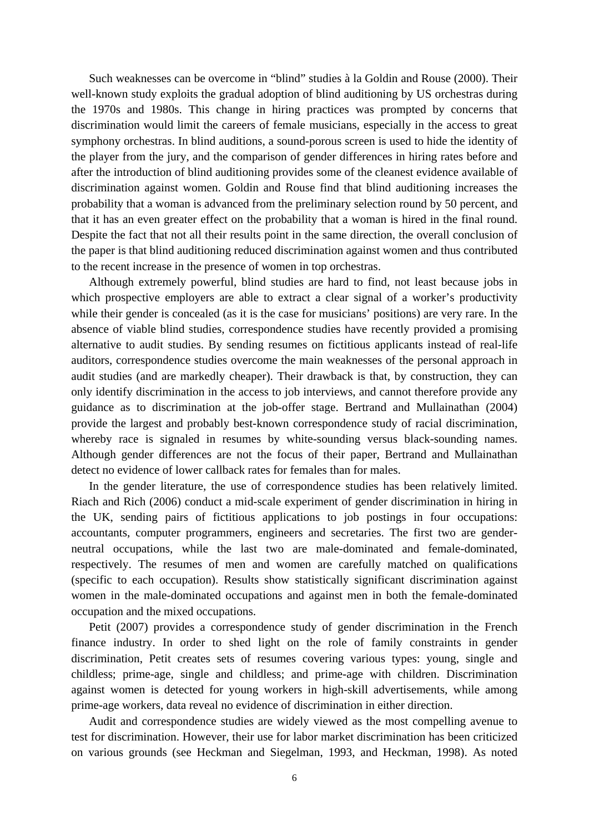Such weaknesses can be overcome in "blind" studies à la Goldin and Rouse (2000). Their well-known study exploits the gradual adoption of blind auditioning by US orchestras during the 1970s and 1980s. This change in hiring practices was prompted by concerns that discrimination would limit the careers of female musicians, especially in the access to great symphony orchestras. In blind auditions, a sound-porous screen is used to hide the identity of the player from the jury, and the comparison of gender differences in hiring rates before and after the introduction of blind auditioning provides some of the cleanest evidence available of discrimination against women. Goldin and Rouse find that blind auditioning increases the probability that a woman is advanced from the preliminary selection round by 50 percent, and that it has an even greater effect on the probability that a woman is hired in the final round. Despite the fact that not all their results point in the same direction, the overall conclusion of the paper is that blind auditioning reduced discrimination against women and thus contributed to the recent increase in the presence of women in top orchestras.

Although extremely powerful, blind studies are hard to find, not least because jobs in which prospective employers are able to extract a clear signal of a worker's productivity while their gender is concealed (as it is the case for musicians' positions) are very rare. In the absence of viable blind studies, correspondence studies have recently provided a promising alternative to audit studies. By sending resumes on fictitious applicants instead of real-life auditors, correspondence studies overcome the main weaknesses of the personal approach in audit studies (and are markedly cheaper). Their drawback is that, by construction, they can only identify discrimination in the access to job interviews, and cannot therefore provide any guidance as to discrimination at the job-offer stage. Bertrand and Mullainathan (2004) provide the largest and probably best-known correspondence study of racial discrimination, whereby race is signaled in resumes by white-sounding versus black-sounding names. Although gender differences are not the focus of their paper, Bertrand and Mullainathan detect no evidence of lower callback rates for females than for males.

In the gender literature, the use of correspondence studies has been relatively limited. Riach and Rich (2006) conduct a mid-scale experiment of gender discrimination in hiring in the UK, sending pairs of fictitious applications to job postings in four occupations: accountants, computer programmers, engineers and secretaries. The first two are genderneutral occupations, while the last two are male-dominated and female-dominated, respectively. The resumes of men and women are carefully matched on qualifications (specific to each occupation). Results show statistically significant discrimination against women in the male-dominated occupations and against men in both the female-dominated occupation and the mixed occupations.

Petit (2007) provides a correspondence study of gender discrimination in the French finance industry. In order to shed light on the role of family constraints in gender discrimination, Petit creates sets of resumes covering various types: young, single and childless; prime-age, single and childless; and prime-age with children. Discrimination against women is detected for young workers in high-skill advertisements, while among prime-age workers, data reveal no evidence of discrimination in either direction.

Audit and correspondence studies are widely viewed as the most compelling avenue to test for discrimination. However, their use for labor market discrimination has been criticized on various grounds (see Heckman and Siegelman, 1993, and Heckman, 1998). As noted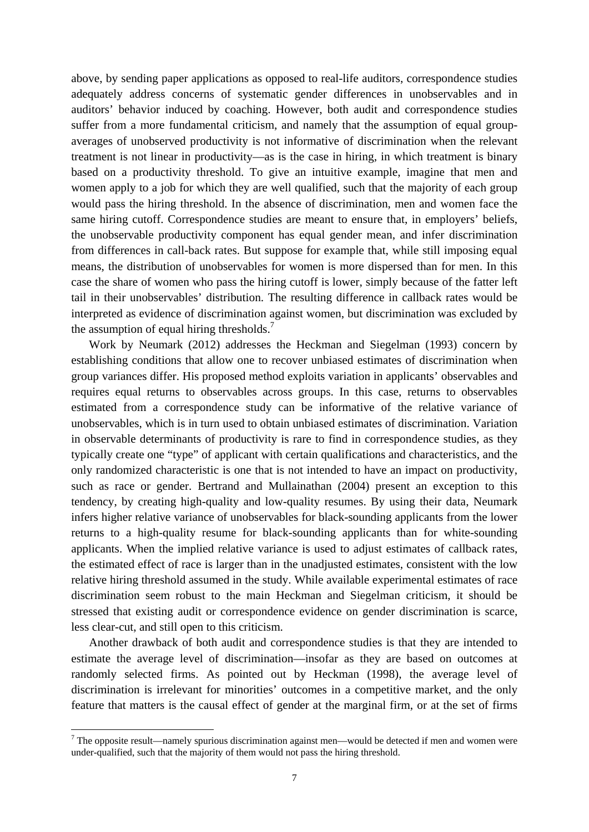above, by sending paper applications as opposed to real-life auditors, correspondence studies adequately address concerns of systematic gender differences in unobservables and in auditors' behavior induced by coaching. However, both audit and correspondence studies suffer from a more fundamental criticism, and namely that the assumption of equal groupaverages of unobserved productivity is not informative of discrimination when the relevant treatment is not linear in productivity—as is the case in hiring, in which treatment is binary based on a productivity threshold. To give an intuitive example, imagine that men and women apply to a job for which they are well qualified, such that the majority of each group would pass the hiring threshold. In the absence of discrimination, men and women face the same hiring cutoff. Correspondence studies are meant to ensure that, in employers' beliefs, the unobservable productivity component has equal gender mean, and infer discrimination from differences in call-back rates. But suppose for example that, while still imposing equal means, the distribution of unobservables for women is more dispersed than for men. In this case the share of women who pass the hiring cutoff is lower, simply because of the fatter left tail in their unobservables' distribution. The resulting difference in callback rates would be interpreted as evidence of discrimination against women, but discrimination was excluded by the assumption of equal hiring thresholds.<sup>7</sup>

Work by Neumark (2012) addresses the Heckman and Siegelman (1993) concern by establishing conditions that allow one to recover unbiased estimates of discrimination when group variances differ. His proposed method exploits variation in applicants' observables and requires equal returns to observables across groups. In this case, returns to observables estimated from a correspondence study can be informative of the relative variance of unobservables, which is in turn used to obtain unbiased estimates of discrimination. Variation in observable determinants of productivity is rare to find in correspondence studies, as they typically create one "type" of applicant with certain qualifications and characteristics, and the only randomized characteristic is one that is not intended to have an impact on productivity, such as race or gender. Bertrand and Mullainathan (2004) present an exception to this tendency, by creating high-quality and low-quality resumes. By using their data, Neumark infers higher relative variance of unobservables for black-sounding applicants from the lower returns to a high-quality resume for black-sounding applicants than for white-sounding applicants. When the implied relative variance is used to adjust estimates of callback rates, the estimated effect of race is larger than in the unadjusted estimates, consistent with the low relative hiring threshold assumed in the study. While available experimental estimates of race discrimination seem robust to the main Heckman and Siegelman criticism, it should be stressed that existing audit or correspondence evidence on gender discrimination is scarce, less clear-cut, and still open to this criticism.

Another drawback of both audit and correspondence studies is that they are intended to estimate the average level of discrimination—insofar as they are based on outcomes at randomly selected firms. As pointed out by Heckman (1998), the average level of discrimination is irrelevant for minorities' outcomes in a competitive market, and the only feature that matters is the causal effect of gender at the marginal firm, or at the set of firms

The opposite result—namely spurious discrimination against men—would be detected if men and women were under-qualified, such that the majority of them would not pass the hiring threshold.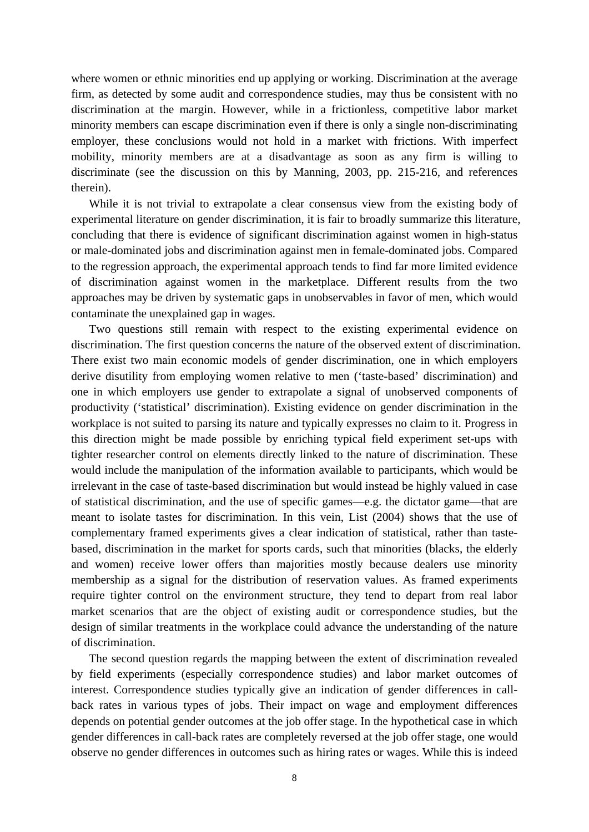where women or ethnic minorities end up applying or working. Discrimination at the average firm, as detected by some audit and correspondence studies, may thus be consistent with no discrimination at the margin. However, while in a frictionless, competitive labor market minority members can escape discrimination even if there is only a single non-discriminating employer, these conclusions would not hold in a market with frictions. With imperfect mobility, minority members are at a disadvantage as soon as any firm is willing to discriminate (see the discussion on this by Manning, 2003, pp. 215-216, and references therein).

While it is not trivial to extrapolate a clear consensus view from the existing body of experimental literature on gender discrimination, it is fair to broadly summarize this literature, concluding that there is evidence of significant discrimination against women in high-status or male-dominated jobs and discrimination against men in female-dominated jobs. Compared to the regression approach, the experimental approach tends to find far more limited evidence of discrimination against women in the marketplace. Different results from the two approaches may be driven by systematic gaps in unobservables in favor of men, which would contaminate the unexplained gap in wages.

Two questions still remain with respect to the existing experimental evidence on discrimination. The first question concerns the nature of the observed extent of discrimination. There exist two main economic models of gender discrimination, one in which employers derive disutility from employing women relative to men ('taste-based' discrimination) and one in which employers use gender to extrapolate a signal of unobserved components of productivity ('statistical' discrimination). Existing evidence on gender discrimination in the workplace is not suited to parsing its nature and typically expresses no claim to it. Progress in this direction might be made possible by enriching typical field experiment set-ups with tighter researcher control on elements directly linked to the nature of discrimination. These would include the manipulation of the information available to participants, which would be irrelevant in the case of taste-based discrimination but would instead be highly valued in case of statistical discrimination, and the use of specific games—e.g. the dictator game—that are meant to isolate tastes for discrimination. In this vein, List (2004) shows that the use of complementary framed experiments gives a clear indication of statistical, rather than tastebased, discrimination in the market for sports cards, such that minorities (blacks, the elderly and women) receive lower offers than majorities mostly because dealers use minority membership as a signal for the distribution of reservation values. As framed experiments require tighter control on the environment structure, they tend to depart from real labor market scenarios that are the object of existing audit or correspondence studies, but the design of similar treatments in the workplace could advance the understanding of the nature of discrimination.

The second question regards the mapping between the extent of discrimination revealed by field experiments (especially correspondence studies) and labor market outcomes of interest. Correspondence studies typically give an indication of gender differences in callback rates in various types of jobs. Their impact on wage and employment differences depends on potential gender outcomes at the job offer stage. In the hypothetical case in which gender differences in call-back rates are completely reversed at the job offer stage, one would observe no gender differences in outcomes such as hiring rates or wages. While this is indeed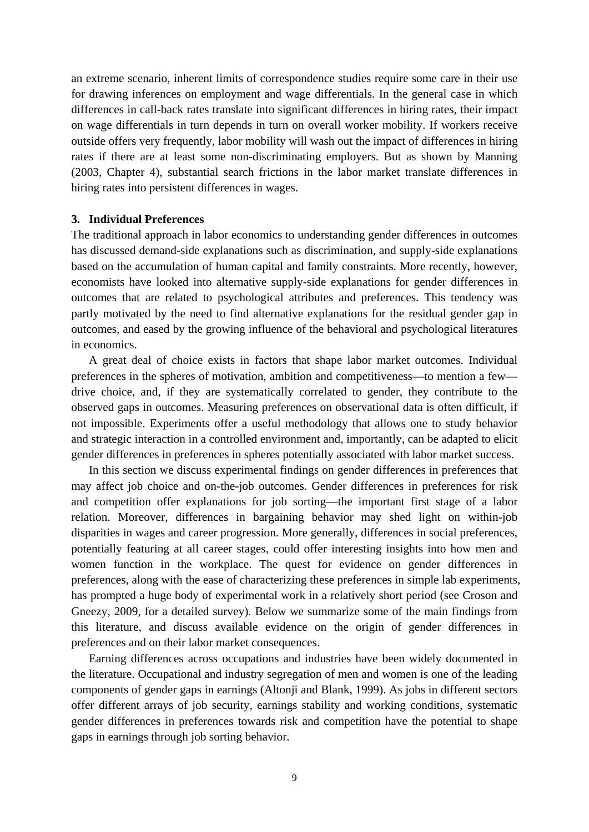an extreme scenario, inherent limits of correspondence studies require some care in their use for drawing inferences on employment and wage differentials. In the general case in which differences in call-back rates translate into significant differences in hiring rates, their impact on wage differentials in turn depends in turn on overall worker mobility. If workers receive outside offers very frequently, labor mobility will wash out the impact of differences in hiring rates if there are at least some non-discriminating employers. But as shown by Manning (2003, Chapter 4), substantial search frictions in the labor market translate differences in hiring rates into persistent differences in wages.

#### **3. Individual Preferences**

The traditional approach in labor economics to understanding gender differences in outcomes has discussed demand-side explanations such as discrimination, and supply-side explanations based on the accumulation of human capital and family constraints. More recently, however, economists have looked into alternative supply-side explanations for gender differences in outcomes that are related to psychological attributes and preferences. This tendency was partly motivated by the need to find alternative explanations for the residual gender gap in outcomes, and eased by the growing influence of the behavioral and psychological literatures in economics.

A great deal of choice exists in factors that shape labor market outcomes. Individual preferences in the spheres of motivation, ambition and competitiveness—to mention a few drive choice, and, if they are systematically correlated to gender, they contribute to the observed gaps in outcomes. Measuring preferences on observational data is often difficult, if not impossible. Experiments offer a useful methodology that allows one to study behavior and strategic interaction in a controlled environment and, importantly, can be adapted to elicit gender differences in preferences in spheres potentially associated with labor market success.

In this section we discuss experimental findings on gender differences in preferences that may affect job choice and on-the-job outcomes. Gender differences in preferences for risk and competition offer explanations for job sorting—the important first stage of a labor relation. Moreover, differences in bargaining behavior may shed light on within-job disparities in wages and career progression. More generally, differences in social preferences, potentially featuring at all career stages, could offer interesting insights into how men and women function in the workplace. The quest for evidence on gender differences in preferences, along with the ease of characterizing these preferences in simple lab experiments, has prompted a huge body of experimental work in a relatively short period (see Croson and Gneezy, 2009, for a detailed survey). Below we summarize some of the main findings from this literature, and discuss available evidence on the origin of gender differences in preferences and on their labor market consequences.

Earning differences across occupations and industries have been widely documented in the literature. Occupational and industry segregation of men and women is one of the leading components of gender gaps in earnings (Altonji and Blank, 1999). As jobs in different sectors offer different arrays of job security, earnings stability and working conditions, systematic gender differences in preferences towards risk and competition have the potential to shape gaps in earnings through job sorting behavior.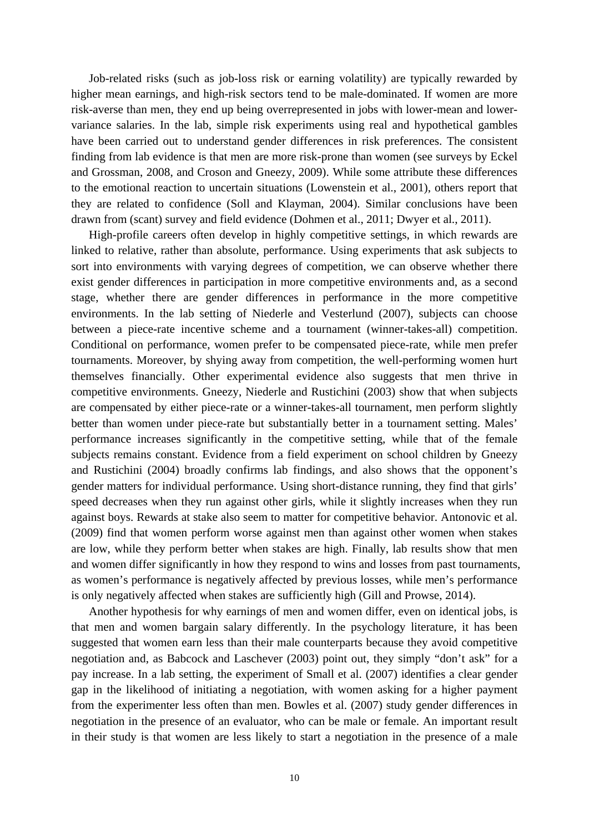Job-related risks (such as job-loss risk or earning volatility) are typically rewarded by higher mean earnings, and high-risk sectors tend to be male-dominated. If women are more risk-averse than men, they end up being overrepresented in jobs with lower-mean and lowervariance salaries. In the lab, simple risk experiments using real and hypothetical gambles have been carried out to understand gender differences in risk preferences. The consistent finding from lab evidence is that men are more risk-prone than women (see surveys by Eckel and Grossman, 2008, and Croson and Gneezy, 2009). While some attribute these differences to the emotional reaction to uncertain situations (Lowenstein et al., 2001), others report that they are related to confidence (Soll and Klayman, 2004). Similar conclusions have been drawn from (scant) survey and field evidence (Dohmen et al., 2011; Dwyer et al., 2011).

High-profile careers often develop in highly competitive settings, in which rewards are linked to relative, rather than absolute, performance. Using experiments that ask subjects to sort into environments with varying degrees of competition, we can observe whether there exist gender differences in participation in more competitive environments and, as a second stage, whether there are gender differences in performance in the more competitive environments. In the lab setting of Niederle and Vesterlund (2007), subjects can choose between a piece-rate incentive scheme and a tournament (winner-takes-all) competition. Conditional on performance, women prefer to be compensated piece-rate, while men prefer tournaments. Moreover, by shying away from competition, the well-performing women hurt themselves financially. Other experimental evidence also suggests that men thrive in competitive environments. Gneezy, Niederle and Rustichini (2003) show that when subjects are compensated by either piece-rate or a winner-takes-all tournament, men perform slightly better than women under piece-rate but substantially better in a tournament setting. Males' performance increases significantly in the competitive setting, while that of the female subjects remains constant. Evidence from a field experiment on school children by Gneezy and Rustichini (2004) broadly confirms lab findings, and also shows that the opponent's gender matters for individual performance. Using short-distance running, they find that girls' speed decreases when they run against other girls, while it slightly increases when they run against boys. Rewards at stake also seem to matter for competitive behavior. Antonovic et al. (2009) find that women perform worse against men than against other women when stakes are low, while they perform better when stakes are high. Finally, lab results show that men and women differ significantly in how they respond to wins and losses from past tournaments, as women's performance is negatively affected by previous losses, while men's performance is only negatively affected when stakes are sufficiently high (Gill and Prowse, 2014).

Another hypothesis for why earnings of men and women differ, even on identical jobs, is that men and women bargain salary differently. In the psychology literature, it has been suggested that women earn less than their male counterparts because they avoid competitive negotiation and, as Babcock and Laschever (2003) point out, they simply "don't ask" for a pay increase. In a lab setting, the experiment of Small et al. (2007) identifies a clear gender gap in the likelihood of initiating a negotiation, with women asking for a higher payment from the experimenter less often than men. Bowles et al. (2007) study gender differences in negotiation in the presence of an evaluator, who can be male or female. An important result in their study is that women are less likely to start a negotiation in the presence of a male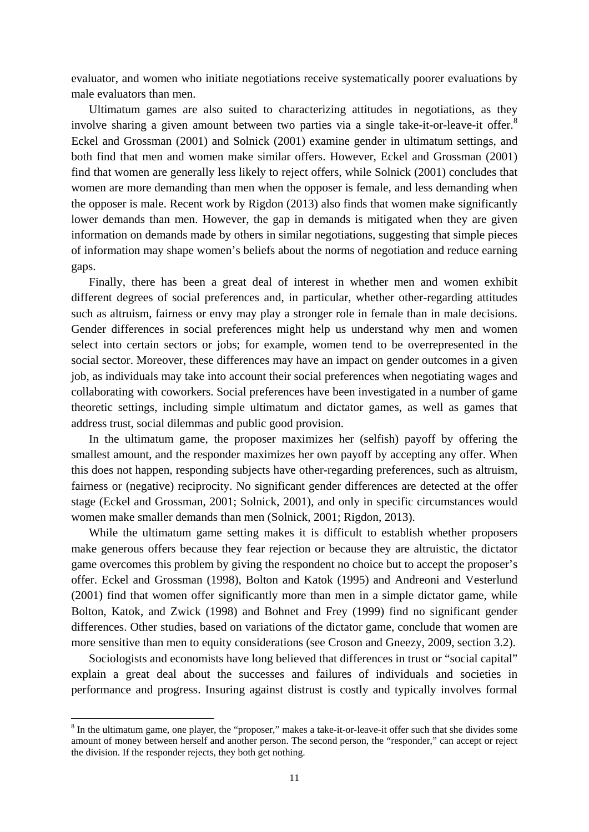evaluator, and women who initiate negotiations receive systematically poorer evaluations by male evaluators than men.

Ultimatum games are also suited to characterizing attitudes in negotiations, as they involve sharing a given amount between two parties via a single take-it-or-leave-it offer. $8$ Eckel and Grossman (2001) and Solnick (2001) examine gender in ultimatum settings, and both find that men and women make similar offers. However, Eckel and Grossman (2001) find that women are generally less likely to reject offers, while Solnick (2001) concludes that women are more demanding than men when the opposer is female, and less demanding when the opposer is male. Recent work by Rigdon (2013) also finds that women make significantly lower demands than men. However, the gap in demands is mitigated when they are given information on demands made by others in similar negotiations, suggesting that simple pieces of information may shape women's beliefs about the norms of negotiation and reduce earning gaps.

Finally, there has been a great deal of interest in whether men and women exhibit different degrees of social preferences and, in particular, whether other-regarding attitudes such as altruism, fairness or envy may play a stronger role in female than in male decisions. Gender differences in social preferences might help us understand why men and women select into certain sectors or jobs; for example, women tend to be overrepresented in the social sector. Moreover, these differences may have an impact on gender outcomes in a given job, as individuals may take into account their social preferences when negotiating wages and collaborating with coworkers. Social preferences have been investigated in a number of game theoretic settings, including simple ultimatum and dictator games, as well as games that address trust, social dilemmas and public good provision.

In the ultimatum game, the proposer maximizes her (selfish) payoff by offering the smallest amount, and the responder maximizes her own payoff by accepting any offer. When this does not happen, responding subjects have other-regarding preferences, such as altruism, fairness or (negative) reciprocity. No significant gender differences are detected at the offer stage (Eckel and Grossman, 2001; Solnick, 2001), and only in specific circumstances would women make smaller demands than men (Solnick, 2001; Rigdon, 2013).

While the ultimatum game setting makes it is difficult to establish whether proposers make generous offers because they fear rejection or because they are altruistic, the dictator game overcomes this problem by giving the respondent no choice but to accept the proposer's offer. Eckel and Grossman (1998), Bolton and Katok (1995) and Andreoni and Vesterlund (2001) find that women offer significantly more than men in a simple dictator game, while Bolton, Katok, and Zwick (1998) and Bohnet and Frey (1999) find no significant gender differences. Other studies, based on variations of the dictator game, conclude that women are more sensitive than men to equity considerations (see Croson and Gneezy, 2009, section 3.2).

Sociologists and economists have long believed that differences in trust or "social capital" explain a great deal about the successes and failures of individuals and societies in performance and progress. Insuring against distrust is costly and typically involves formal

 $8$  In the ultimatum game, one player, the "proposer," makes a take-it-or-leave-it offer such that she divides some amount of money between herself and another person. The second person, the "responder," can accept or reject the division. If the responder rejects, they both get nothing.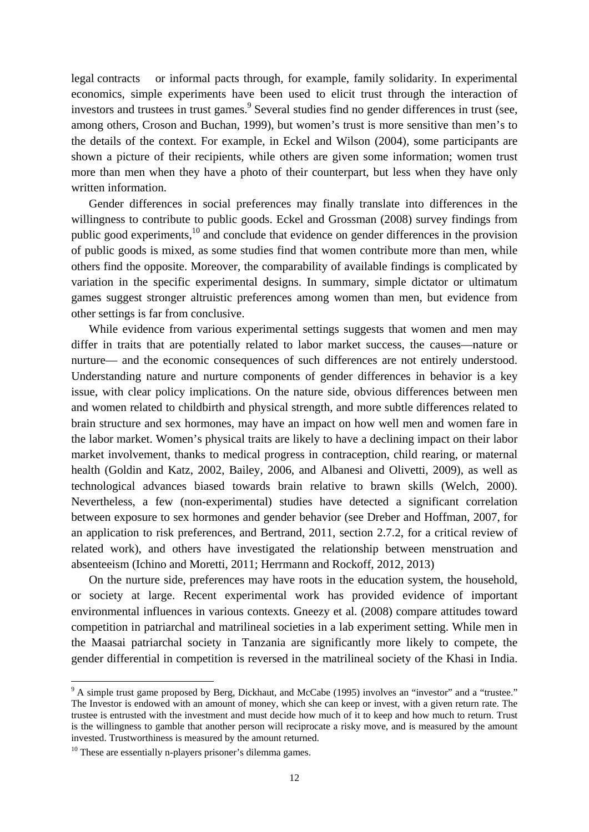legal contracts or informal pacts through, for example, family solidarity. In experimental economics, simple experiments have been used to elicit trust through the interaction of investors and trustees in trust games.<sup>9</sup> Several studies find no gender differences in trust (see, among others, Croson and Buchan, 1999), but women's trust is more sensitive than men's to the details of the context. For example, in Eckel and Wilson (2004), some participants are shown a picture of their recipients, while others are given some information; women trust more than men when they have a photo of their counterpart, but less when they have only written information.

Gender differences in social preferences may finally translate into differences in the willingness to contribute to public goods. Eckel and Grossman (2008) survey findings from public good experiments, <sup>10</sup> and conclude that evidence on gender differences in the provision of public goods is mixed, as some studies find that women contribute more than men, while others find the opposite. Moreover, the comparability of available findings is complicated by variation in the specific experimental designs. In summary, simple dictator or ultimatum games suggest stronger altruistic preferences among women than men, but evidence from other settings is far from conclusive.

While evidence from various experimental settings suggests that women and men may differ in traits that are potentially related to labor market success, the causes—nature or nurture— and the economic consequences of such differences are not entirely understood. Understanding nature and nurture components of gender differences in behavior is a key issue, with clear policy implications. On the nature side, obvious differences between men and women related to childbirth and physical strength, and more subtle differences related to brain structure and sex hormones, may have an impact on how well men and women fare in the labor market. Women's physical traits are likely to have a declining impact on their labor market involvement, thanks to medical progress in contraception, child rearing, or maternal health (Goldin and Katz, 2002, Bailey, 2006, and Albanesi and Olivetti, 2009), as well as technological advances biased towards brain relative to brawn skills (Welch, 2000). Nevertheless, a few (non-experimental) studies have detected a significant correlation between exposure to sex hormones and gender behavior (see Dreber and Hoffman, 2007, for an application to risk preferences, and Bertrand, 2011, section 2.7.2, for a critical review of related work), and others have investigated the relationship between menstruation and absenteeism (Ichino and Moretti, 2011; Herrmann and Rockoff, 2012, 2013)

On the nurture side, preferences may have roots in the education system, the household, or society at large. Recent experimental work has provided evidence of important environmental influences in various contexts. Gneezy et al. (2008) compare attitudes toward competition in patriarchal and matrilineal societies in a lab experiment setting. While men in the Maasai patriarchal society in Tanzania are significantly more likely to compete, the gender differential in competition is reversed in the matrilineal society of the Khasi in India.

<sup>&</sup>lt;sup>9</sup> A simple trust game proposed by Berg, Dickhaut, and McCabe (1995) involves an "investor" and a "trustee." The Investor is endowed with an amount of money, which she can keep or invest, with a given return rate. The trustee is entrusted with the investment and must decide how much of it to keep and how much to return. Trust is the willingness to gamble that another person will reciprocate a risky move, and is measured by the amount invested. Trustworthiness is measured by the amount returned.

<sup>&</sup>lt;sup>10</sup> These are essentially n-players prisoner's dilemma games.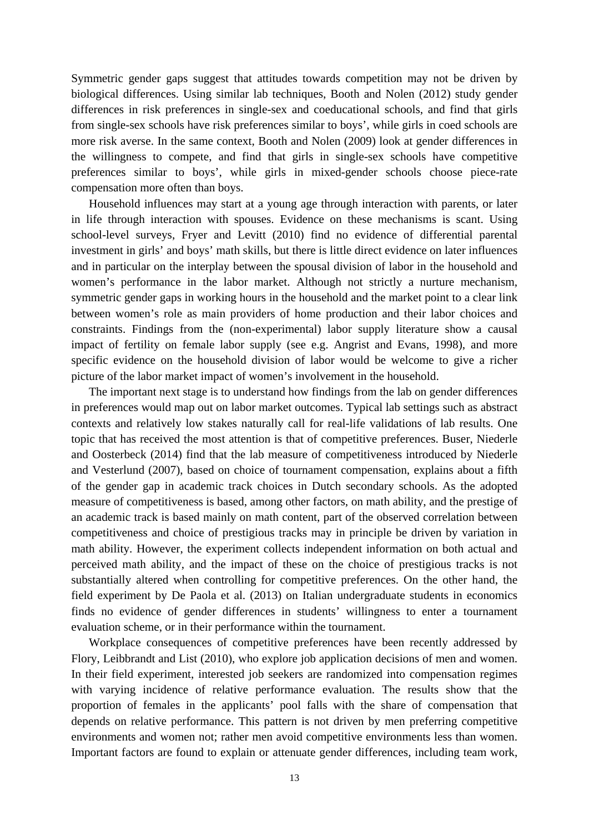Symmetric gender gaps suggest that attitudes towards competition may not be driven by biological differences. Using similar lab techniques, Booth and Nolen (2012) study gender differences in risk preferences in single-sex and coeducational schools, and find that girls from single-sex schools have risk preferences similar to boys', while girls in coed schools are more risk averse. In the same context, Booth and Nolen (2009) look at gender differences in the willingness to compete, and find that girls in single-sex schools have competitive preferences similar to boys', while girls in mixed-gender schools choose piece-rate compensation more often than boys.

Household influences may start at a young age through interaction with parents, or later in life through interaction with spouses. Evidence on these mechanisms is scant. Using school-level surveys, Fryer and Levitt (2010) find no evidence of differential parental investment in girls' and boys' math skills, but there is little direct evidence on later influences and in particular on the interplay between the spousal division of labor in the household and women's performance in the labor market. Although not strictly a nurture mechanism, symmetric gender gaps in working hours in the household and the market point to a clear link between women's role as main providers of home production and their labor choices and constraints. Findings from the (non-experimental) labor supply literature show a causal impact of fertility on female labor supply (see e.g. Angrist and Evans, 1998), and more specific evidence on the household division of labor would be welcome to give a richer picture of the labor market impact of women's involvement in the household.

The important next stage is to understand how findings from the lab on gender differences in preferences would map out on labor market outcomes. Typical lab settings such as abstract contexts and relatively low stakes naturally call for real-life validations of lab results. One topic that has received the most attention is that of competitive preferences. Buser, Niederle and Oosterbeck (2014) find that the lab measure of competitiveness introduced by Niederle and Vesterlund (2007), based on choice of tournament compensation, explains about a fifth of the gender gap in academic track choices in Dutch secondary schools. As the adopted measure of competitiveness is based, among other factors, on math ability, and the prestige of an academic track is based mainly on math content, part of the observed correlation between competitiveness and choice of prestigious tracks may in principle be driven by variation in math ability. However, the experiment collects independent information on both actual and perceived math ability, and the impact of these on the choice of prestigious tracks is not substantially altered when controlling for competitive preferences. On the other hand, the field experiment by De Paola et al. (2013) on Italian undergraduate students in economics finds no evidence of gender differences in students' willingness to enter a tournament evaluation scheme, or in their performance within the tournament.

Workplace consequences of competitive preferences have been recently addressed by Flory, Leibbrandt and List (2010), who explore job application decisions of men and women. In their field experiment, interested job seekers are randomized into compensation regimes with varying incidence of relative performance evaluation. The results show that the proportion of females in the applicants' pool falls with the share of compensation that depends on relative performance. This pattern is not driven by men preferring competitive environments and women not; rather men avoid competitive environments less than women. Important factors are found to explain or attenuate gender differences, including team work,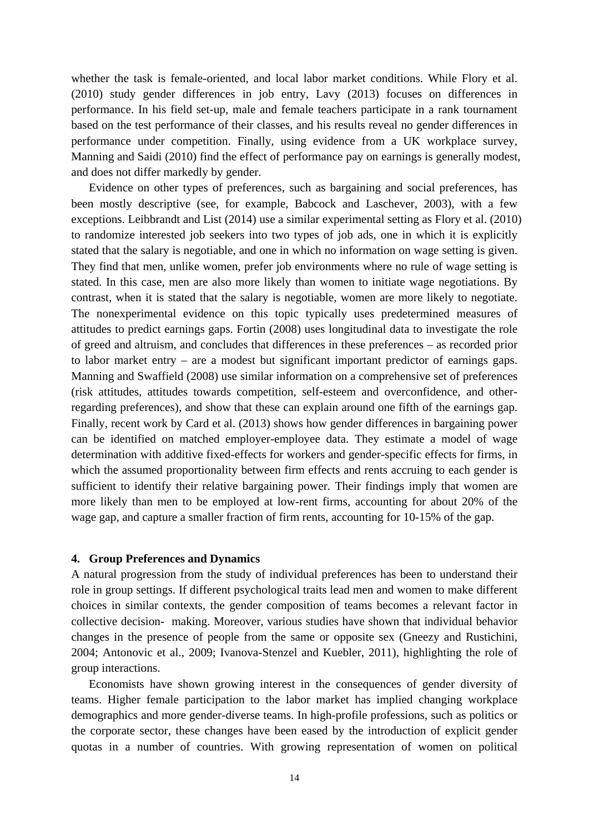whether the task is female-oriented, and local labor market conditions. While Flory et al. (2010) study gender differences in job entry, Lavy (2013) focuses on differences in performance. In his field set-up, male and female teachers participate in a rank tournament based on the test performance of their classes, and his results reveal no gender differences in performance under competition. Finally, using evidence from a UK workplace survey, Manning and Saidi (2010) find the effect of performance pay on earnings is generally modest, and does not differ markedly by gender.

Evidence on other types of preferences, such as bargaining and social preferences, has been mostly descriptive (see, for example, Babcock and Laschever, 2003), with a few exceptions. Leibbrandt and List (2014) use a similar experimental setting as Flory et al. (2010) to randomize interested job seekers into two types of job ads, one in which it is explicitly stated that the salary is negotiable, and one in which no information on wage setting is given. They find that men, unlike women, prefer job environments where no rule of wage setting is stated. In this case, men are also more likely than women to initiate wage negotiations. By contrast, when it is stated that the salary is negotiable, women are more likely to negotiate. The nonexperimental evidence on this topic typically uses predetermined measures of attitudes to predict earnings gaps. Fortin (2008) uses longitudinal data to investigate the role of greed and altruism, and concludes that differences in these preferences – as recorded prior to labor market entry – are a modest but significant important predictor of earnings gaps. Manning and Swaffield (2008) use similar information on a comprehensive set of preferences (risk attitudes, attitudes towards competition, self-esteem and overconfidence, and otherregarding preferences), and show that these can explain around one fifth of the earnings gap. Finally, recent work by Card et al. (2013) shows how gender differences in bargaining power can be identified on matched employer-employee data. They estimate a model of wage determination with additive fixed-effects for workers and gender-specific effects for firms, in which the assumed proportionality between firm effects and rents accruing to each gender is sufficient to identify their relative bargaining power. Their findings imply that women are more likely than men to be employed at low-rent firms, accounting for about 20% of the wage gap, and capture a smaller fraction of firm rents, accounting for 10-15% of the gap.

#### **4. Group Preferences and Dynamics**

A natural progression from the study of individual preferences has been to understand their role in group settings. If different psychological traits lead men and women to make different choices in similar contexts, the gender composition of teams becomes a relevant factor in collective decision- making. Moreover, various studies have shown that individual behavior changes in the presence of people from the same or opposite sex (Gneezy and Rustichini, 2004; Antonovic et al., 2009; Ivanova-Stenzel and Kuebler, 2011), highlighting the role of group interactions.

Economists have shown growing interest in the consequences of gender diversity of teams. Higher female participation to the labor market has implied changing workplace demographics and more gender-diverse teams. In high-profile professions, such as politics or the corporate sector, these changes have been eased by the introduction of explicit gender quotas in a number of countries. With growing representation of women on political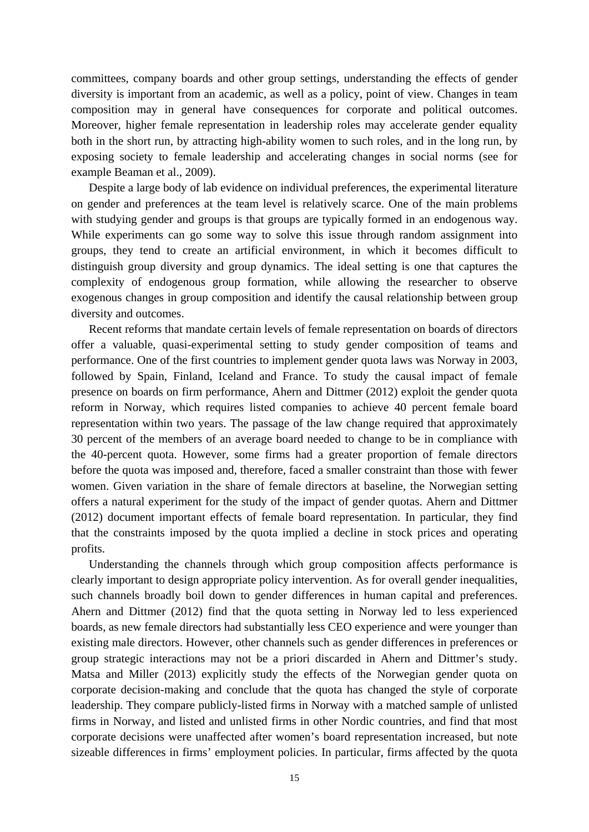committees, company boards and other group settings, understanding the effects of gender diversity is important from an academic, as well as a policy, point of view. Changes in team composition may in general have consequences for corporate and political outcomes. Moreover, higher female representation in leadership roles may accelerate gender equality both in the short run, by attracting high-ability women to such roles, and in the long run, by exposing society to female leadership and accelerating changes in social norms (see for example Beaman et al., 2009).

Despite a large body of lab evidence on individual preferences, the experimental literature on gender and preferences at the team level is relatively scarce. One of the main problems with studying gender and groups is that groups are typically formed in an endogenous way. While experiments can go some way to solve this issue through random assignment into groups, they tend to create an artificial environment, in which it becomes difficult to distinguish group diversity and group dynamics. The ideal setting is one that captures the complexity of endogenous group formation, while allowing the researcher to observe exogenous changes in group composition and identify the causal relationship between group diversity and outcomes.

Recent reforms that mandate certain levels of female representation on boards of directors offer a valuable, quasi-experimental setting to study gender composition of teams and performance. One of the first countries to implement gender quota laws was Norway in 2003, followed by Spain, Finland, Iceland and France. To study the causal impact of female presence on boards on firm performance, Ahern and Dittmer (2012) exploit the gender quota reform in Norway, which requires listed companies to achieve 40 percent female board representation within two years. The passage of the law change required that approximately 30 percent of the members of an average board needed to change to be in compliance with the 40-percent quota. However, some firms had a greater proportion of female directors before the quota was imposed and, therefore, faced a smaller constraint than those with fewer women. Given variation in the share of female directors at baseline, the Norwegian setting offers a natural experiment for the study of the impact of gender quotas. Ahern and Dittmer (2012) document important effects of female board representation. In particular, they find that the constraints imposed by the quota implied a decline in stock prices and operating profits.

Understanding the channels through which group composition affects performance is clearly important to design appropriate policy intervention. As for overall gender inequalities, such channels broadly boil down to gender differences in human capital and preferences. Ahern and Dittmer (2012) find that the quota setting in Norway led to less experienced boards, as new female directors had substantially less CEO experience and were younger than existing male directors. However, other channels such as gender differences in preferences or group strategic interactions may not be a priori discarded in Ahern and Dittmer's study. Matsa and Miller (2013) explicitly study the effects of the Norwegian gender quota on corporate decision-making and conclude that the quota has changed the style of corporate leadership. They compare publicly-listed firms in Norway with a matched sample of unlisted firms in Norway, and listed and unlisted firms in other Nordic countries, and find that most corporate decisions were unaffected after women's board representation increased, but note sizeable differences in firms' employment policies. In particular, firms affected by the quota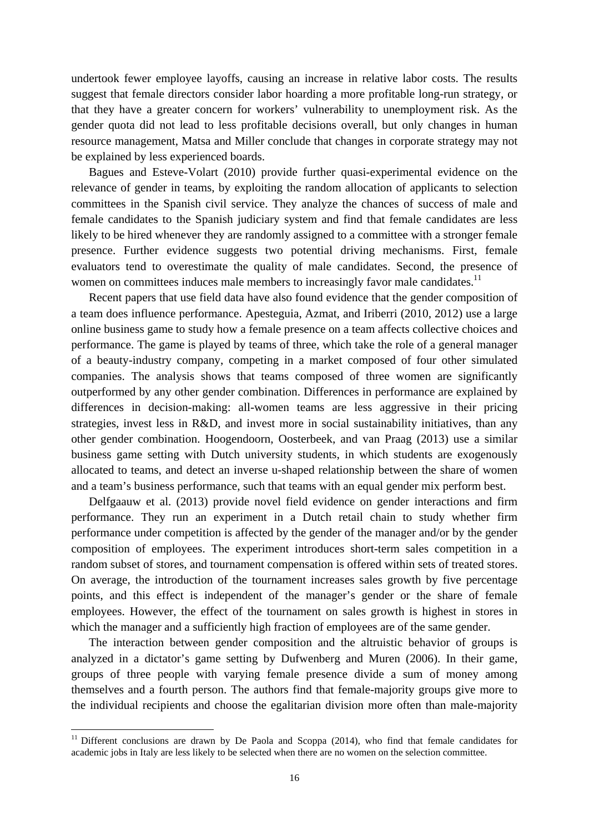undertook fewer employee layoffs, causing an increase in relative labor costs. The results suggest that female directors consider labor hoarding a more profitable long-run strategy, or that they have a greater concern for workers' vulnerability to unemployment risk. As the gender quota did not lead to less profitable decisions overall, but only changes in human resource management, Matsa and Miller conclude that changes in corporate strategy may not be explained by less experienced boards.

Bagues and Esteve-Volart (2010) provide further quasi-experimental evidence on the relevance of gender in teams, by exploiting the random allocation of applicants to selection committees in the Spanish civil service. They analyze the chances of success of male and female candidates to the Spanish judiciary system and find that female candidates are less likely to be hired whenever they are randomly assigned to a committee with a stronger female presence. Further evidence suggests two potential driving mechanisms. First, female evaluators tend to overestimate the quality of male candidates. Second, the presence of women on committees induces male members to increasingly favor male candidates.<sup>11</sup>

Recent papers that use field data have also found evidence that the gender composition of a team does influence performance. Apesteguia, Azmat, and Iriberri (2010, 2012) use a large online business game to study how a female presence on a team affects collective choices and performance. The game is played by teams of three, which take the role of a general manager of a beauty-industry company, competing in a market composed of four other simulated companies. The analysis shows that teams composed of three women are significantly outperformed by any other gender combination. Differences in performance are explained by differences in decision-making: all-women teams are less aggressive in their pricing strategies, invest less in R&D, and invest more in social sustainability initiatives, than any other gender combination. Hoogendoorn, Oosterbeek, and van Praag (2013) use a similar business game setting with Dutch university students, in which students are exogenously allocated to teams, and detect an inverse u-shaped relationship between the share of women and a team's business performance, such that teams with an equal gender mix perform best.

Delfgaauw et al. (2013) provide novel field evidence on gender interactions and firm performance. They run an experiment in a Dutch retail chain to study whether firm performance under competition is affected by the gender of the manager and/or by the gender composition of employees. The experiment introduces short-term sales competition in a random subset of stores, and tournament compensation is offered within sets of treated stores. On average, the introduction of the tournament increases sales growth by five percentage points, and this effect is independent of the manager's gender or the share of female employees. However, the effect of the tournament on sales growth is highest in stores in which the manager and a sufficiently high fraction of employees are of the same gender.

The interaction between gender composition and the altruistic behavior of groups is analyzed in a dictator's game setting by Dufwenberg and Muren (2006). In their game, groups of three people with varying female presence divide a sum of money among themselves and a fourth person. The authors find that female-majority groups give more to the individual recipients and choose the egalitarian division more often than male-majority

 $11$  Different conclusions are drawn by De Paola and Scoppa (2014), who find that female candidates for academic jobs in Italy are less likely to be selected when there are no women on the selection committee.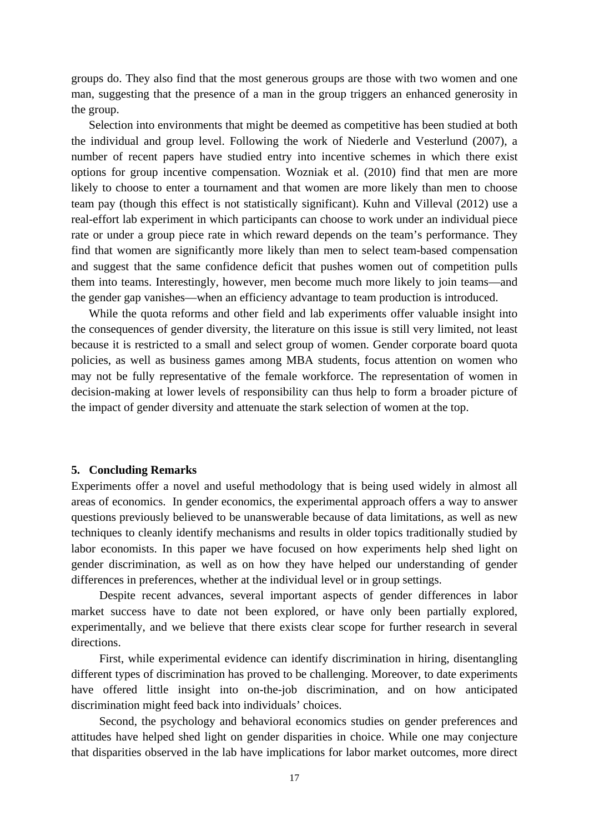groups do. They also find that the most generous groups are those with two women and one man, suggesting that the presence of a man in the group triggers an enhanced generosity in the group.

Selection into environments that might be deemed as competitive has been studied at both the individual and group level. Following the work of Niederle and Vesterlund (2007), a number of recent papers have studied entry into incentive schemes in which there exist options for group incentive compensation. Wozniak et al. (2010) find that men are more likely to choose to enter a tournament and that women are more likely than men to choose team pay (though this effect is not statistically significant). Kuhn and Villeval (2012) use a real-effort lab experiment in which participants can choose to work under an individual piece rate or under a group piece rate in which reward depends on the team's performance. They find that women are significantly more likely than men to select team-based compensation and suggest that the same confidence deficit that pushes women out of competition pulls them into teams. Interestingly, however, men become much more likely to join teams—and the gender gap vanishes—when an efficiency advantage to team production is introduced.

While the quota reforms and other field and lab experiments offer valuable insight into the consequences of gender diversity, the literature on this issue is still very limited, not least because it is restricted to a small and select group of women. Gender corporate board quota policies, as well as business games among MBA students, focus attention on women who may not be fully representative of the female workforce. The representation of women in decision-making at lower levels of responsibility can thus help to form a broader picture of the impact of gender diversity and attenuate the stark selection of women at the top.

#### **5. Concluding Remarks**

Experiments offer a novel and useful methodology that is being used widely in almost all areas of economics. In gender economics, the experimental approach offers a way to answer questions previously believed to be unanswerable because of data limitations, as well as new techniques to cleanly identify mechanisms and results in older topics traditionally studied by labor economists. In this paper we have focused on how experiments help shed light on gender discrimination, as well as on how they have helped our understanding of gender differences in preferences, whether at the individual level or in group settings.

Despite recent advances, several important aspects of gender differences in labor market success have to date not been explored, or have only been partially explored, experimentally, and we believe that there exists clear scope for further research in several directions.

First, while experimental evidence can identify discrimination in hiring, disentangling different types of discrimination has proved to be challenging. Moreover, to date experiments have offered little insight into on-the-job discrimination, and on how anticipated discrimination might feed back into individuals' choices.

Second, the psychology and behavioral economics studies on gender preferences and attitudes have helped shed light on gender disparities in choice. While one may conjecture that disparities observed in the lab have implications for labor market outcomes, more direct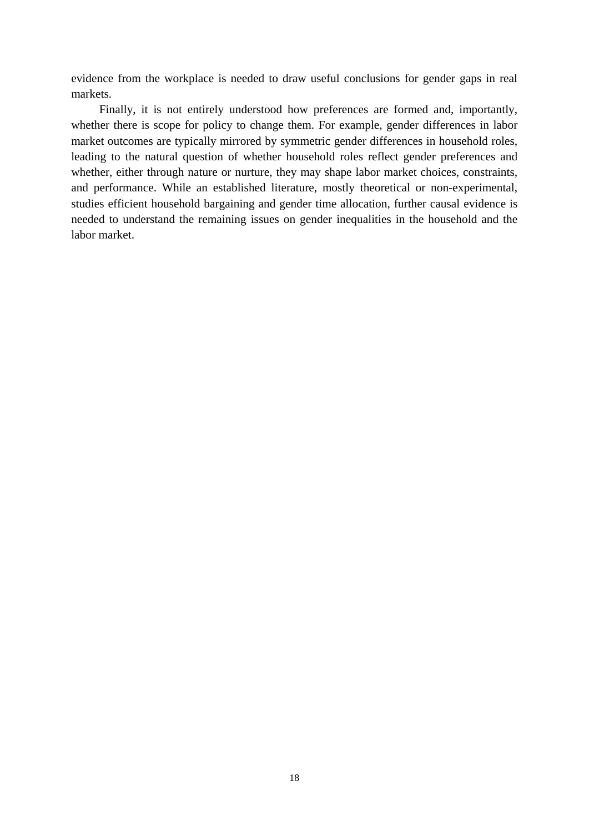evidence from the workplace is needed to draw useful conclusions for gender gaps in real markets.

Finally, it is not entirely understood how preferences are formed and, importantly, whether there is scope for policy to change them. For example, gender differences in labor market outcomes are typically mirrored by symmetric gender differences in household roles, leading to the natural question of whether household roles reflect gender preferences and whether, either through nature or nurture, they may shape labor market choices, constraints, and performance. While an established literature, mostly theoretical or non-experimental, studies efficient household bargaining and gender time allocation, further causal evidence is needed to understand the remaining issues on gender inequalities in the household and the labor market.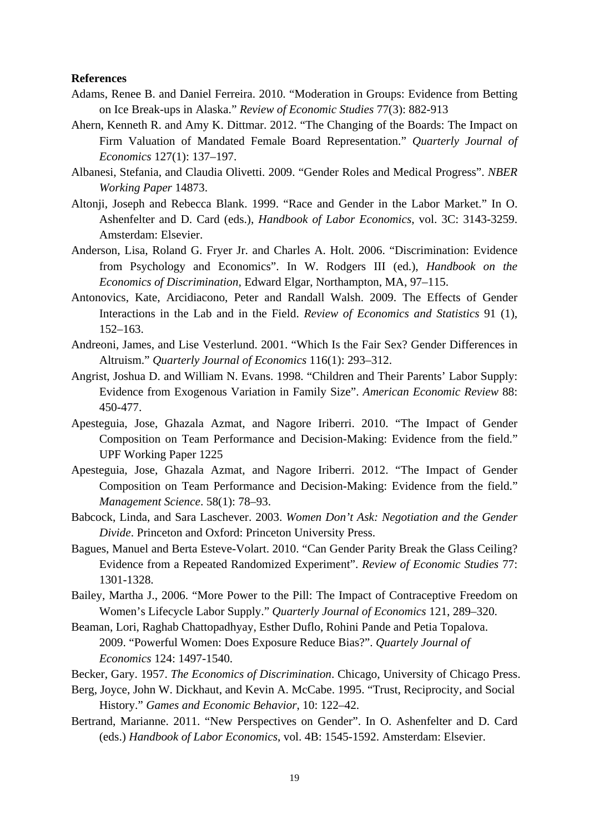#### **References**

- Adams, Renee B. and Daniel Ferreira. 2010. "Moderation in Groups: Evidence from Betting on Ice Break-ups in Alaska." *Review of Economic Studies* 77(3): 882-913
- Ahern, Kenneth R. and Amy K. Dittmar. 2012. "The Changing of the Boards: The Impact on Firm Valuation of Mandated Female Board Representation." *Quarterly Journal of Economics* 127(1): 137–197.
- Albanesi, Stefania, and Claudia Olivetti. 2009. "Gender Roles and Medical Progress". *NBER Working Paper* 14873.
- Altonji, Joseph and Rebecca Blank. 1999. "Race and Gender in the Labor Market." In O. Ashenfelter and D. Card (eds.), *Handbook of Labor Economics*, vol. 3C: 3143-3259. Amsterdam: Elsevier.
- Anderson, Lisa, Roland G. Fryer Jr. and Charles A. Holt. 2006. "Discrimination: Evidence from Psychology and Economics". In W. Rodgers III (ed.), *Handbook on the Economics of Discrimination,* Edward Elgar, Northampton, MA, 97–115.
- Antonovics, Kate, Arcidiacono, Peter and Randall Walsh. 2009. The Effects of Gender Interactions in the Lab and in the Field. *Review of Economics and Statistics* 91 (1), 152–163.
- Andreoni, James, and Lise Vesterlund. 2001. "Which Is the Fair Sex? Gender Differences in Altruism." *Quarterly Journal of Economics* 116(1): 293–312.
- Angrist, Joshua D. and William N. Evans. 1998. "Children and Their Parents' Labor Supply: Evidence from Exogenous Variation in Family Size". *American Economic Review* 88: 450-477.
- Apesteguia, Jose, Ghazala Azmat, and Nagore Iriberri. 2010. "The Impact of Gender Composition on Team Performance and Decision-Making: Evidence from the field." UPF Working Paper 1225
- Apesteguia, Jose, Ghazala Azmat, and Nagore Iriberri. 2012. "The Impact of Gender Composition on Team Performance and Decision-Making: Evidence from the field." *Management Science*. 58(1): 78–93.
- Babcock, Linda, and Sara Laschever. 2003. *Women Don't Ask: Negotiation and the Gender Divide*. Princeton and Oxford: Princeton University Press.
- Bagues, Manuel and Berta Esteve-Volart. 2010. "Can Gender Parity Break the Glass Ceiling? Evidence from a Repeated Randomized Experiment". *Review of Economic Studies* 77: 1301-1328.
- Bailey, Martha J., 2006. "More Power to the Pill: The Impact of Contraceptive Freedom on Women's Lifecycle Labor Supply." *Quarterly Journal of Economics* 121, 289–320.
- Beaman, Lori, Raghab Chattopadhyay, Esther Duflo, Rohini Pande and Petia Topalova. 2009. "Powerful Women: Does Exposure Reduce Bias?". *Quartely Journal of Economics* 124: 1497-1540.
- Becker, Gary. 1957. *The Economics of Discrimination*. Chicago, University of Chicago Press.
- Berg, Joyce, John W. Dickhaut, and Kevin A. McCabe. 1995. "Trust, Reciprocity, and Social History." *Games and Economic Behavior*, 10: 122–42.
- Bertrand, Marianne. 2011. "New Perspectives on Gender". In O. Ashenfelter and D. Card (eds.) *Handbook of Labor Economics*, vol. 4B: 1545-1592. Amsterdam: Elsevier.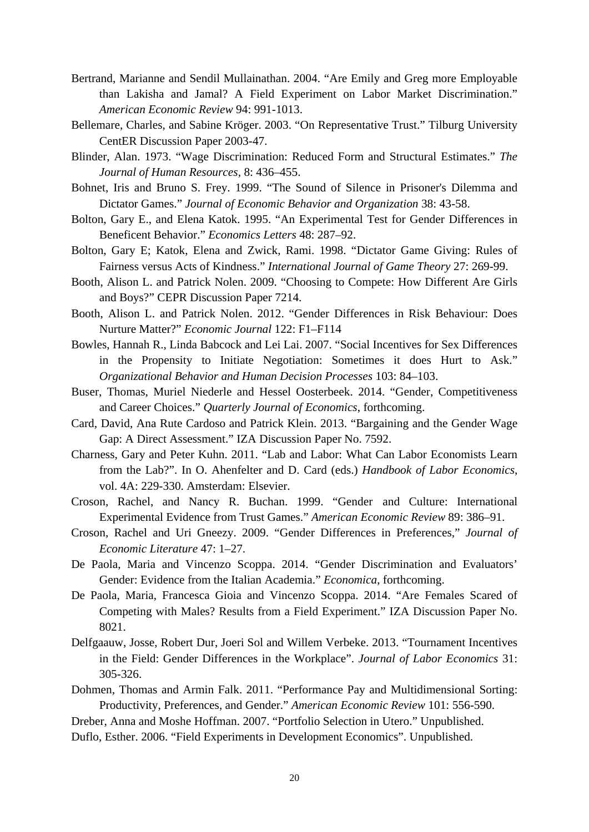- Bertrand, Marianne and Sendil Mullainathan. 2004. "Are Emily and Greg more Employable than Lakisha and Jamal? A Field Experiment on Labor Market Discrimination." *American Economic Review* 94: 991-1013.
- Bellemare, Charles, and Sabine Kröger. 2003. "On Representative Trust." Tilburg University CentER Discussion Paper 2003-47.
- Blinder, Alan. 1973. "Wage Discrimination: Reduced Form and Structural Estimates." *The Journal of Human Resources,* 8: 436–455.
- Bohnet, Iris and Bruno S. Frey. 1999. "The Sound of Silence in Prisoner's Dilemma and Dictator Games." *Journal of Economic Behavior and Organization* 38: 43-58.
- Bolton, Gary E., and Elena Katok. 1995. "An Experimental Test for Gender Differences in Beneficent Behavior." *Economics Letters* 48: 287–92.
- Bolton, Gary E; Katok, Elena and Zwick, Rami. 1998. "Dictator Game Giving: Rules of Fairness versus Acts of Kindness." *International Journal of Game Theory* 27: 269-99.
- Booth, Alison L. and Patrick Nolen. 2009. "Choosing to Compete: How Different Are Girls and Boys?" CEPR Discussion Paper 7214.
- Booth, Alison L. and Patrick Nolen. 2012. "Gender Differences in Risk Behaviour: Does Nurture Matter?" *Economic Journal* 122: F1–F114
- Bowles, Hannah R., Linda Babcock and Lei Lai. 2007. "Social Incentives for Sex Differences in the Propensity to Initiate Negotiation: Sometimes it does Hurt to Ask." *Organizational Behavior and Human Decision Processes* 103: 84–103.
- Buser, Thomas, Muriel Niederle and Hessel Oosterbeek. 2014. "Gender, Competitiveness and Career Choices." *Quarterly Journal of Economics*, forthcoming.
- Card, David, Ana Rute Cardoso and Patrick Klein. 2013. "Bargaining and the Gender Wage Gap: A Direct Assessment." IZA Discussion Paper No. 7592.
- Charness, Gary and Peter Kuhn. 2011. "Lab and Labor: What Can Labor Economists Learn from the Lab?". In O. Ahenfelter and D. Card (eds.) *Handbook of Labor Economics*, vol. 4A: 229-330. Amsterdam: Elsevier.
- Croson, Rachel, and Nancy R. Buchan. 1999. "Gender and Culture: International Experimental Evidence from Trust Games." *American Economic Review* 89: 386–91.
- Croson, Rachel and Uri Gneezy. 2009. "Gender Differences in Preferences," *Journal of Economic Literature* 47: 1–27.
- De Paola, Maria and Vincenzo Scoppa. 2014. "Gender Discrimination and Evaluators' Gender: Evidence from the Italian Academia." *Economica*, forthcoming.
- De Paola, Maria, Francesca Gioia and Vincenzo Scoppa. 2014. "Are Females Scared of Competing with Males? Results from a Field Experiment." IZA Discussion Paper No. 8021.
- Delfgaauw, Josse, Robert Dur, Joeri Sol and Willem Verbeke. 2013. "Tournament Incentives in the Field: Gender Differences in the Workplace". *Journal of Labor Economics* 31: 305-326.
- Dohmen, Thomas and Armin Falk. 2011. "Performance Pay and Multidimensional Sorting: Productivity, Preferences, and Gender." *American Economic Review* 101: 556-590.
- Dreber, Anna and Moshe Hoffman. 2007. "Portfolio Selection in Utero." Unpublished.
- Duflo, Esther. 2006. "Field Experiments in Development Economics". Unpublished.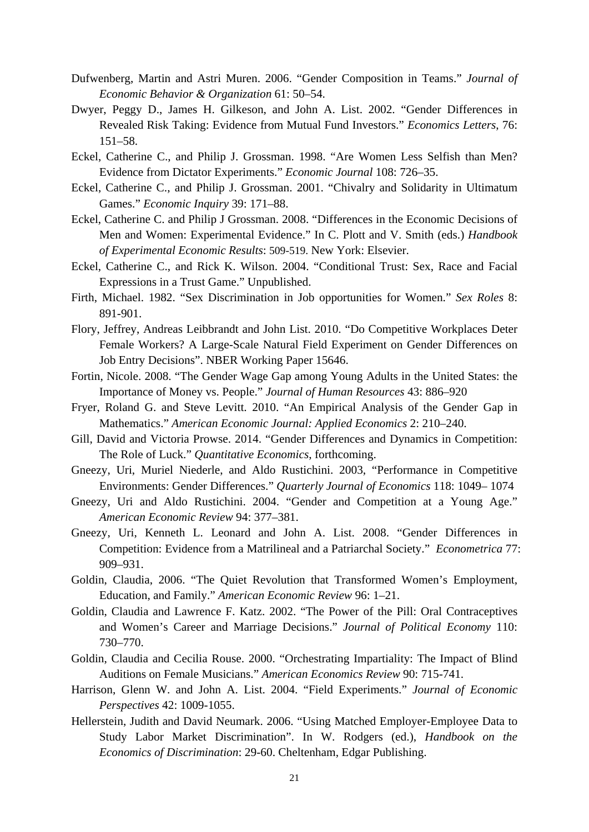- Dufwenberg, Martin and Astri Muren. 2006. "Gender Composition in Teams." *Journal of Economic Behavior & Organization* 61: 50–54.
- Dwyer, Peggy D., James H. Gilkeson, and John A. List. 2002. "Gender Differences in Revealed Risk Taking: Evidence from Mutual Fund Investors." *Economics Letters*, 76: 151–58.
- Eckel, Catherine C., and Philip J. Grossman. 1998. "Are Women Less Selfish than Men? Evidence from Dictator Experiments." *Economic Journal* 108: 726–35.
- Eckel, Catherine C., and Philip J. Grossman. 2001. "Chivalry and Solidarity in Ultimatum Games." *Economic Inquiry* 39: 171–88.
- Eckel, Catherine C. and Philip J Grossman. 2008. "Differences in the Economic Decisions of Men and Women: Experimental Evidence." In C. Plott and V. Smith (eds.) *Handbook of Experimental Economic Results*: 509-519. New York: Elsevier.
- Eckel, Catherine C., and Rick K. Wilson. 2004. "Conditional Trust: Sex, Race and Facial Expressions in a Trust Game." Unpublished.
- Firth, Michael. 1982. "Sex Discrimination in Job opportunities for Women." *Sex Roles* 8: 891-901.
- Flory, Jeffrey, Andreas Leibbrandt and John List. 2010. "Do Competitive Workplaces Deter Female Workers? A Large-Scale Natural Field Experiment on Gender Differences on Job Entry Decisions". NBER Working Paper 15646.
- Fortin, Nicole. 2008. "The Gender Wage Gap among Young Adults in the United States: the Importance of Money vs. People." *Journal of Human Resources* 43: 886–920
- Fryer, Roland G. and Steve Levitt. 2010. "An Empirical Analysis of the Gender Gap in Mathematics." *American Economic Journal: Applied Economics* 2: 210–240.
- Gill, David and Victoria Prowse. 2014. "Gender Differences and Dynamics in Competition: The Role of Luck." *Quantitative Economics*, forthcoming.
- Gneezy, Uri, Muriel Niederle, and Aldo Rustichini. 2003, "Performance in Competitive Environments: Gender Differences." *Quarterly Journal of Economics* 118: 1049– 1074
- Gneezy, Uri and Aldo Rustichini. 2004. "Gender and Competition at a Young Age." *American Economic Review* 94: 377–381.
- Gneezy, Uri, Kenneth L. Leonard and John A. List. 2008. "Gender Differences in Competition: Evidence from a Matrilineal and a Patriarchal Society." *Econometrica* 77: 909–931.
- Goldin, Claudia, 2006. "The Quiet Revolution that Transformed Women's Employment, Education, and Family." *American Economic Review* 96: 1–21.
- Goldin, Claudia and Lawrence F. Katz. 2002. "The Power of the Pill: Oral Contraceptives and Women's Career and Marriage Decisions." *Journal of Political Economy* 110: 730–770.
- Goldin, Claudia and Cecilia Rouse. 2000. "Orchestrating Impartiality: The Impact of Blind Auditions on Female Musicians." *American Economics Review* 90: 715-741.
- Harrison, Glenn W. and John A. List. 2004. "Field Experiments." *Journal of Economic Perspectives* 42: 1009-1055.
- Hellerstein, Judith and David Neumark. 2006. "Using Matched Employer-Employee Data to Study Labor Market Discrimination". In W. Rodgers (ed.), *Handbook on the Economics of Discrimination*: 29-60. Cheltenham, Edgar Publishing.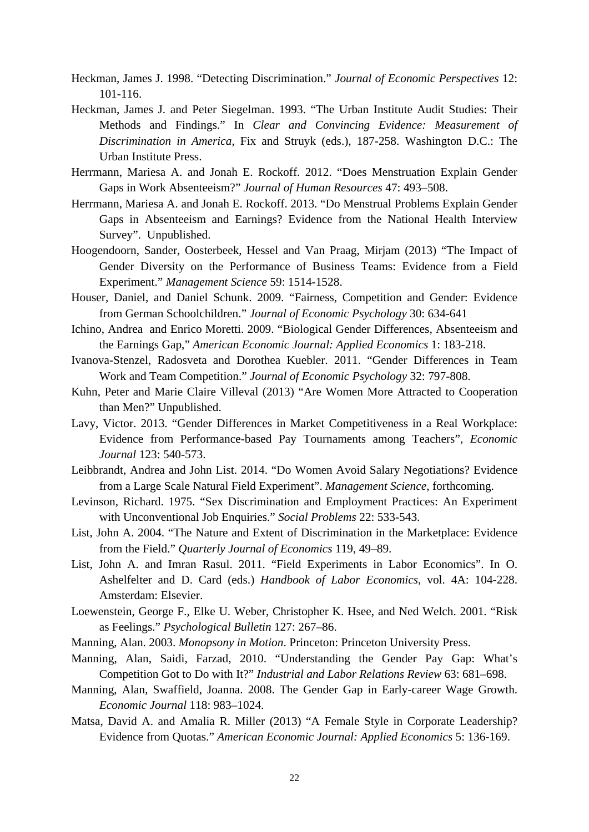- Heckman, James J. 1998. "Detecting Discrimination." *Journal of Economic Perspectives* 12: 101-116.
- Heckman, James J. and Peter Siegelman. 1993. "The Urban Institute Audit Studies: Their Methods and Findings." In *Clear and Convincing Evidence: Measurement of Discrimination in America*, Fix and Struyk (eds.), 187-258. Washington D.C.: The Urban Institute Press.
- Herrmann, Mariesa A. and Jonah E. Rockoff. 2012. "Does Menstruation Explain Gender Gaps in Work Absenteeism?" *Journal of Human Resources* 47: 493–508.
- Herrmann, Mariesa A. and Jonah E. Rockoff. 2013. "Do Menstrual Problems Explain Gender Gaps in Absenteeism and Earnings? Evidence from the National Health Interview Survey". Unpublished.
- Hoogendoorn, Sander, Oosterbeek, Hessel and Van Praag, Mirjam (2013) "The Impact of Gender Diversity on the Performance of Business Teams: Evidence from a Field Experiment." *Management Science* 59: 1514-1528.
- Houser, Daniel, and Daniel Schunk. 2009. "Fairness, Competition and Gender: Evidence from German Schoolchildren." *Journal of Economic Psychology* 30: 634-641
- Ichino, Andrea and Enrico Moretti. 2009. "Biological Gender Differences, Absenteeism and the Earnings Gap," *American Economic Journal: Applied Economics* 1: 183-218.
- Ivanova-Stenzel, Radosveta and Dorothea Kuebler. 2011. "Gender Differences in Team Work and Team Competition." *Journal of Economic Psychology* 32: 797-808.
- Kuhn, Peter and Marie Claire Villeval (2013) "Are Women More Attracted to Cooperation than Men?" Unpublished.
- Lavy, Victor. 2013. "Gender Differences in Market Competitiveness in a Real Workplace: Evidence from Performance-based Pay Tournaments among Teachers", *Economic Journal* 123: 540-573.
- Leibbrandt, Andrea and John List. 2014. "Do Women Avoid Salary Negotiations? Evidence from a Large Scale Natural Field Experiment". *Management Science*, forthcoming.
- Levinson, Richard. 1975. "Sex Discrimination and Employment Practices: An Experiment with Unconventional Job Enquiries." *Social Problems* 22: 533-543.
- List, John A. 2004. "The Nature and Extent of Discrimination in the Marketplace: Evidence from the Field." *Quarterly Journal of Economics* 119, 49–89.
- List, John A. and Imran Rasul. 2011. "Field Experiments in Labor Economics". In O. Ashelfelter and D. Card (eds.) *Handbook of Labor Economics*, vol. 4A: 104-228. Amsterdam: Elsevier.
- Loewenstein, George F., Elke U. Weber, Christopher K. Hsee, and Ned Welch. 2001. "Risk as Feelings." *Psychological Bulletin* 127: 267–86.
- Manning, Alan. 2003. *Monopsony in Motion*. Princeton: Princeton University Press.
- Manning, Alan, Saidi, Farzad, 2010. "Understanding the Gender Pay Gap: What's Competition Got to Do with It?" *Industrial and Labor Relations Review* 63: 681–698.
- Manning, Alan, Swaffield, Joanna. 2008. The Gender Gap in Early-career Wage Growth. *Economic Journal* 118: 983–1024.
- Matsa, David A. and Amalia R. Miller (2013) "A Female Style in Corporate Leadership? Evidence from Quotas." *American Economic Journal: Applied Economics* 5: 136-169.